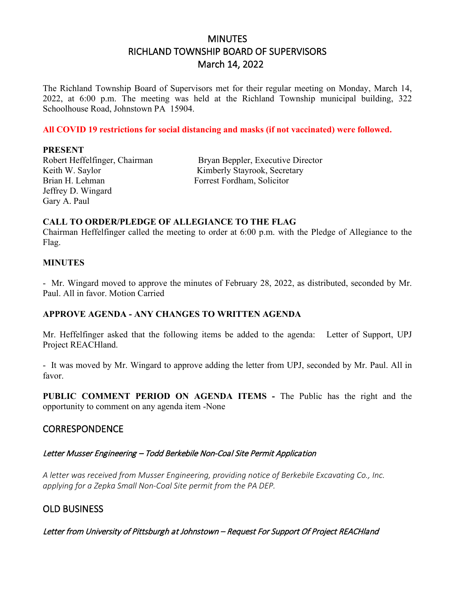# MINUTES RICHLAND TOWNSHIP BOARD OF SUPERVISORS March 14, 2022

The Richland Township Board of Supervisors met for their regular meeting on Monday, March 14, 2022, at 6:00 p.m. The meeting was held at the Richland Township municipal building, 322 Schoolhouse Road, Johnstown PA 15904.

### **All COVID 19 restrictions for social distancing and masks (if not vaccinated) were followed.**

#### **PRESENT**

Keith W. Saylor Kimberly Stayrook, Secretary Jeffrey D. Wingard Gary A. Paul

Robert Heffelfinger, Chairman Bryan Beppler, Executive Director Forrest Fordham, Solicitor

#### **CALL TO ORDER/PLEDGE OF ALLEGIANCE TO THE FLAG**

Chairman Heffelfinger called the meeting to order at 6:00 p.m. with the Pledge of Allegiance to the Flag.

#### **MINUTES**

- Mr. Wingard moved to approve the minutes of February 28, 2022, as distributed, seconded by Mr. Paul. All in favor. Motion Carried

#### **APPROVE AGENDA - ANY CHANGES TO WRITTEN AGENDA**

Mr. Heffelfinger asked that the following items be added to the agenda: Letter of Support, UPJ Project REACHland.

- It was moved by Mr. Wingard to approve adding the letter from UPJ, seconded by Mr. Paul. All in favor.

**PUBLIC COMMENT PERIOD ON AGENDA ITEMS -** The Public has the right and the opportunity to comment on any agenda item -None

## **CORRESPONDENCE**

#### Letter Musser Engineering – Todd Berkebile Non-Coal Site Permit Application

*A letter was received from Musser Engineering, providing notice of Berkebile Excavating Co., Inc. applying for a Zepka Small Non-Coal Site permit from the PA DEP.*

## OLD BUSINESS

Letter from University of Pittsburgh at Johnstown – Request For Support Of Project REACHland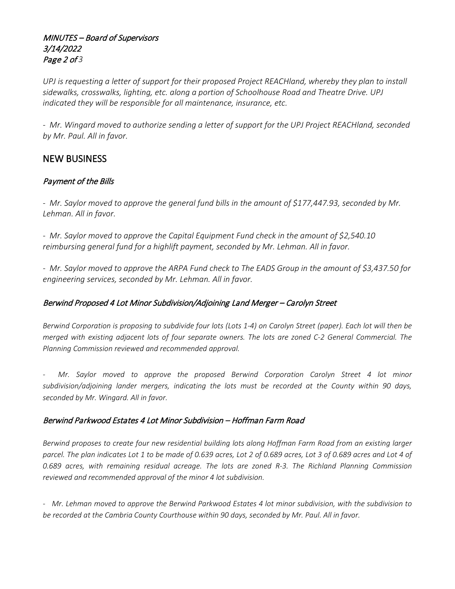## MINUTES – Board of Supervisors 3/14/2022 Page 2 of *3*

*UPJ is requesting a letter of support for their proposed Project REACHland, whereby they plan to install sidewalks, crosswalks, lighting, etc. along a portion of Schoolhouse Road and Theatre Drive. UPJ indicated they will be responsible for all maintenance, insurance, etc.*

*- Mr. Wingard moved to authorize sending a letter of support for the UPJ Project REACHland, seconded by Mr. Paul. All in favor.*

## NEW BUSINESS

### Payment of the Bills

- *Mr. Saylor moved to approve the general fund bills in the amount of \$177,447.93, seconded by Mr. Lehman. All in favor.* 

*- Mr. Saylor moved to approve the Capital Equipment Fund check in the amount of \$2,540.10 reimbursing general fund for a highlift payment, seconded by Mr. Lehman. All in favor.*

*- Mr. Saylor moved to approve the ARPA Fund check to The EADS Group in the amount of \$3,437.50 for engineering services, seconded by Mr. Lehman. All in favor.*

## Berwind Proposed 4 Lot Minor Subdivision/Adjoining Land Merger – Carolyn Street

*Berwind Corporation is proposing to subdivide four lots (Lots 1-4) on Carolyn Street (paper). Each lot will then be merged with existing adjacent lots of four separate owners. The lots are zoned C-2 General Commercial. The Planning Commission reviewed and recommended approval.*

*- Mr. Saylor moved to approve the proposed Berwind Corporation Carolyn Street 4 lot minor subdivision/adjoining lander mergers, indicating the lots must be recorded at the County within 90 days, seconded by Mr. Wingard. All in favor.*

### Berwind Parkwood Estates 4 Lot Minor Subdivision – Hoffman Farm Road

*Berwind proposes to create four new residential building lots along Hoffman Farm Road from an existing larger parcel. The plan indicates Lot 1 to be made of 0.639 acres, Lot 2 of 0.689 acres, Lot 3 of 0.689 acres and Lot 4 of 0.689 acres, with remaining residual acreage. The lots are zoned R-3. The Richland Planning Commission reviewed and recommended approval of the minor 4 lot subdivision.*

*- Mr. Lehman moved to approve the Berwind Parkwood Estates 4 lot minor subdivision, with the subdivision to be recorded at the Cambria County Courthouse within 90 days, seconded by Mr. Paul. All in favor.*